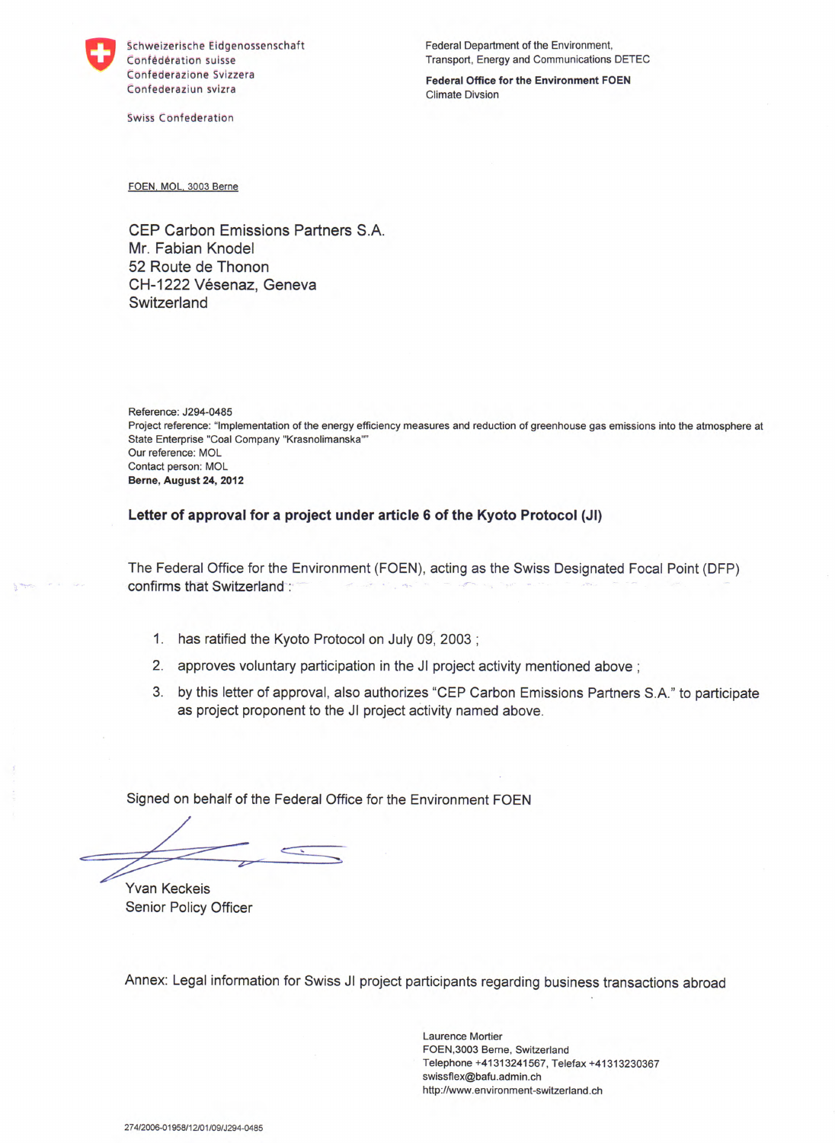

Confederazione Svizzera **Federal Office for the Environment FOEN**  Confederaziun svizra and a context context context context context context context context context context context context context context context context context context context context context context context context con

Swiss Confederation

Schweizerische Eidgenossenschaft Federal Department of the Environment, Confederation suisse Transport, Energy and Communications DETEC

FOEN, MOL, 3003 Berne

CEP Carbon Emissions Partners S.A. Mr. Fabian Knodel 52 Route de Thonon CH-1222 Vésenaz, Geneva **Switzerland** 

Reference: J294-0485 Project reference: "Implementation of the energy efficiency measures and reduction of greenhouse gas emissions into the atmosphere at State Enterprise "Coal Company "Krasnolimanska" Our reference: MOL Contact person: MOL **Berne, August 24, 2012** 

**Letter of approval for a project under article 6 of the Kyoto Protocol** (JI)

The Federal Office for the Environment (FOEN), acting as the Swiss Designated Focal Point (DFP) confirms that Switzerland:

- 1. has ratified the Kyoto Protocol on July 09, 2003;
- 2. approves voluntary participation in the JI project activity mentioned above;
- 3. by this letter of approval, also authorizes "CEP Carbon Emissions Partners S.A." to participate as project proponent to the JI project activity named above.

Signed on behalf of the Federal Office for the Environment FOEN

Yvan Keckeis Senior Policy Officer

Annex: Legal information for Swiss JI project participants regarding business transactions abroad

Laurence Mortier FOEN,3003 Berne, Switzerland Telephone +41313241567, Telefax +41313230367 swissflex@bafu.admin.ch http://www.environment-switzerland.ch